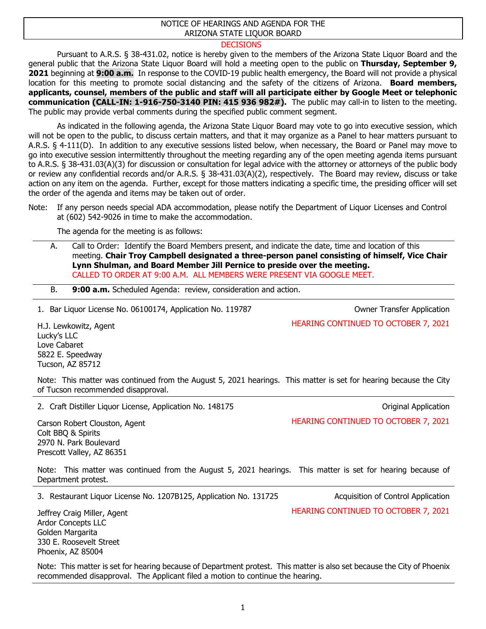## NOTICE OF HEARINGS AND AGENDA FOR THE ARIZONA STATE LIQUOR BOARD

## **DECISIONS**

Pursuant to A.R.S. § 38-431.02, notice is hereby given to the members of the Arizona State Liquor Board and the general public that the Arizona State Liquor Board will hold a meeting open to the public on **Thursday, September 9, 2021** beginning at **9:00 a.m.** In response to the COVID-19 public health emergency, the Board will not provide a physical location for this meeting to promote social distancing and the safety of the citizens of Arizona. **Board members, applicants, counsel, members of the public and staff will all participate either by Google Meet or telephonic communication (CALL-IN: 1-916-750-3140 PIN: 415 936 982#).** The public may call-in to listen to the meeting. The public may provide verbal comments during the specified public comment segment.

As indicated in the following agenda, the Arizona State Liquor Board may vote to go into executive session, which will not be open to the public, to discuss certain matters, and that it may organize as a Panel to hear matters pursuant to A.R.S. § 4-111(D). In addition to any executive sessions listed below, when necessary, the Board or Panel may move to go into executive session intermittently throughout the meeting regarding any of the open meeting agenda items pursuant to A.R.S. § 38-431.03(A)(3) for discussion or consultation for legal advice with the attorney or attorneys of the public body or review any confidential records and/or A.R.S. § 38-431.03(A)(2), respectively. The Board may review, discuss or take action on any item on the agenda. Further, except for those matters indicating a specific time, the presiding officer will set the order of the agenda and items may be taken out of order.

Note: If any person needs special ADA accommodation, please notify the Department of Liquor Licenses and Control at (602) 542-9026 in time to make the accommodation.

The agenda for the meeting is as follows:

- A. Call to Order: Identify the Board Members present, and indicate the date, time and location of this meeting. **Chair Troy Campbell designated a three-person panel consisting of himself, Vice Chair Lynn Shulman, and Board Member Jill Pernice to preside over the meeting.** CALLED TO ORDER AT 9:00 A.M. ALL MEMBERS WERE PRESENT VIA GOOGLE MEET.
- B. **9:00 a.m.** Scheduled Agenda: review, consideration and action.

1. Bar Liquor License No. 06100174, Application No. 119787 Owner Transfer Application

HEARING CONTINUED TO OCTOBER 7, 2021

H.J. Lewkowitz, Agent Lucky's LLC Love Cabaret 5822 E. Speedway Tucson, AZ 85712

Note: This matter was continued from the August 5, 2021 hearings. This matter is set for hearing because the City of Tucson recommended disapproval.

2. Craft Distiller Liquor License, Application No. 148175 Critical Application Criginal Application

HEARING CONTINUED TO OCTOBER 7, 2021

Carson Robert Clouston, Agent Colt BBQ & Spirits 2970 N. Park Boulevard Prescott Valley, AZ 86351

Note: This matter was continued from the August 5, 2021 hearings. This matter is set for hearing because of Department protest.

3. Restaurant Liquor License No. 1207B125, Application No. 131725 Acquisition of Control Application

Jeffrey Craig Miller, Agent Ardor Concepts LLC Golden Margarita 330 E. Roosevelt Street Phoenix, AZ 85004

Note: This matter is set for hearing because of Department protest. This matter is also set because the City of Phoenix recommended disapproval. The Applicant filed a motion to continue the hearing.

HEARING CONTINUED TO OCTOBER 7, 2021